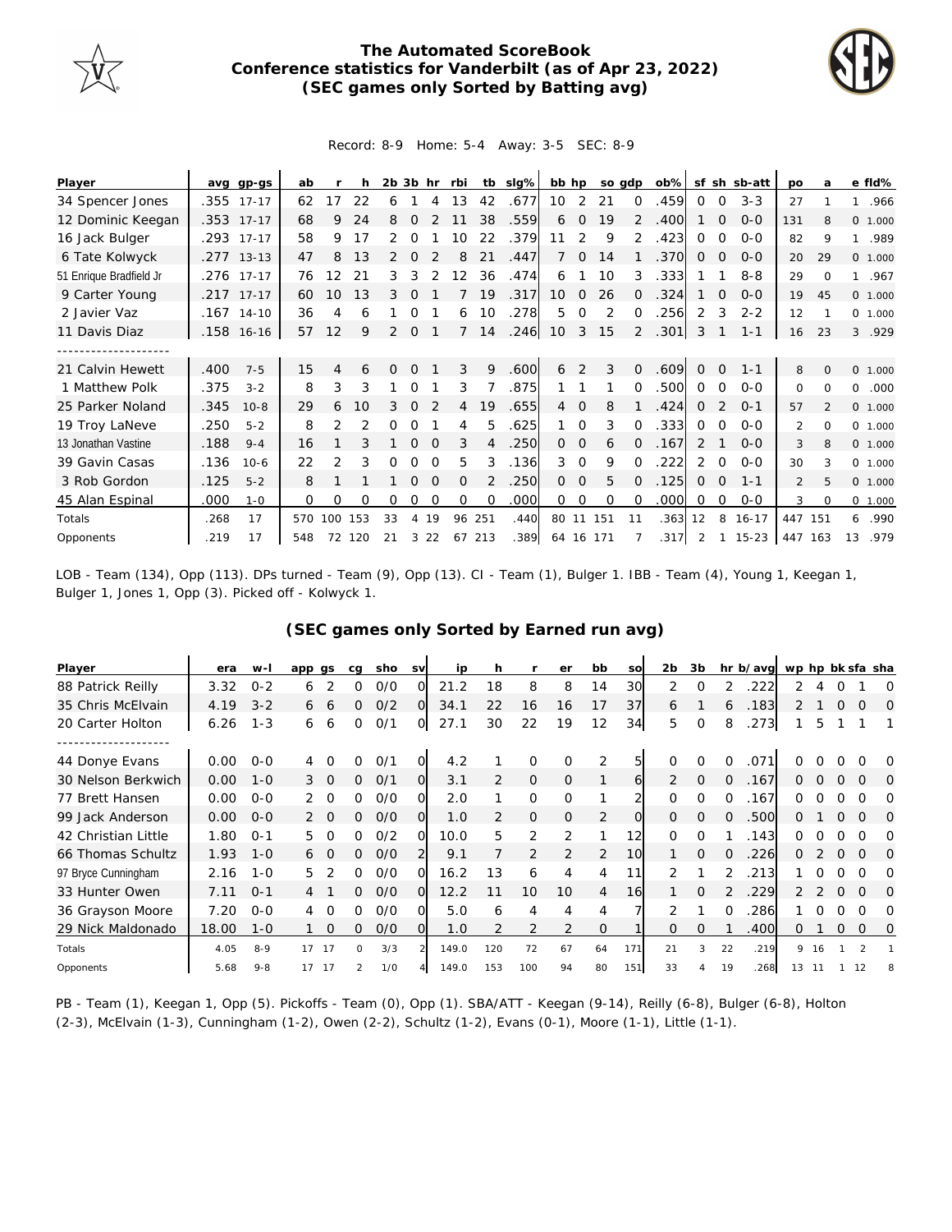

## **The Automated ScoreBook Conference statistics for Vanderbilt (as of Apr 23, 2022) (SEC games only Sorted by Batting avg)**



Record: 8-9 Home: 5-4 Away: 3-5 SEC: 8-9

| Player                  | avq  | gp-gs        | ab  |                |     | $2b$ $3b$ |          | hr       | rbi      | tb       | slg% | bb hp          |               | so gdp    |                | $ob\%$ |             |              | sf sh sb-att | po            | a        |              | e fld%   |
|-------------------------|------|--------------|-----|----------------|-----|-----------|----------|----------|----------|----------|------|----------------|---------------|-----------|----------------|--------|-------------|--------------|--------------|---------------|----------|--------------|----------|
| 34 Spencer Jones        |      | .355 17-17   | 62  | 17             | 22  | 6         |          | 4        | 13       | 42       | .677 | 10             | 2             | 21        | 0              | .459   | $\Omega$    | 0            | $3 - 3$      | 27            |          | $\mathbf{1}$ | .966     |
| 12 Dominic Keegan       |      | .353 17-17   | 68  | 9              | 24  | 8         | $\Omega$ |          |          | 38       | .559 | 6              | $\Omega$      | 19        | 2              | .400   |             | 0            | $0 - 0$      | 131           | 8        |              | 0, 1,000 |
| 16 Jack Bulger          | .293 | $17 - 17$    | 58  | 9              | 17  |           |          |          | 10       | 22       | .379 | 11             | 2             | 9         | 2              | .423   | 0           | 0            | $O - O$      | 82            | 9        | $\mathbf{1}$ | .989     |
| 6 Tate Kolwyck          |      | $.277$ 13-13 | 47  | 8              | 13  | 2         | $\Omega$ |          | 8        | 21       | .447 |                | $\Omega$      | 14        |                | .370   | 0           | 0            | $0 - 0$      | 20            | 29       |              | 0, 1,000 |
| 51 Enrique Bradfield Jr |      | .276 17-17   | 76  | 12             | 21  | 3         | 3        |          | 12       | 36       | .474 | 6              |               | 10        | 3              | .333   |             |              | $8 - 8$      | 29            | $\Omega$ |              | 1 .967   |
| 9 Carter Young          | .217 | $17 - 17$    | 60  | 10             | 13  | 3         |          |          |          | 19       | .317 | 10             | $\Omega$      | 26        | $\Omega$       | .324   |             | $\Omega$     | $0 - 0$      | 19            | 45       |              | 0 1.000  |
| 2 Javier Vaz            |      | $.167$ 14-10 | 36  | 4              | 6   |           |          |          | 6        | 10       | .278 | 5              | $\Omega$      | 2         | $\Omega$       | 256    | 2           | 3            | $2 - 2$      | 12            |          |              | 0 1.000  |
| 11 Davis Diaz           |      | .158 16-16   | 57  | 12             | 9   | 2         | 0        |          |          | 14       | .246 | 10             | 3             | 15        | $\overline{2}$ | .301   | 3           |              | $1 - 1$      | 16            | 23       | 3            | .929     |
|                         |      |              |     |                |     |           |          |          |          |          |      |                |               |           |                |        |             |              |              |               |          |              |          |
| 21 Calvin Hewett        | .400 | $7 - 5$      | 15  | 4              | 6   | O         | $\Omega$ |          | 3        | 9        | .600 | 6              | $\mathcal{P}$ | 3         | $\Omega$       | .609   | $\Omega$    | $\Omega$     | $1 - 1$      | 8             | $\Omega$ |              | 0 1.000  |
| 1 Matthew Polk          | .375 | $3 - 2$      | 8   | 3              | 3   |           | $\Omega$ |          | 3        |          | .875 |                |               |           | $\Omega$       | .500   | $\Omega$    | $\Omega$     | $0 - 0$      | 0             | $\Omega$ | $\Omega$     | .000     |
| 25 Parker Noland        | .345 | $10 - 8$     | 29  | 6              | 10  | 3         | $\Omega$ |          | 4        | 19       | .655 | $\overline{4}$ | $\Omega$      | 8         |                | .424   | 0           |              | $O - 1$      | 57            |          |              | 0 1.000  |
| 19 Troy LaNeve          | .250 | $5 - 2$      | 8   | $\mathfrak{D}$ |     |           | O        |          | 4        | 5        | .625 |                | $\Omega$      | 3         | $\Omega$       | .333   | 0           | $\Omega$     | $0 - 0$      | $\mathcal{P}$ | $\Omega$ |              | 0, 1,000 |
| 13 Jonathan Vastine     | .188 | $9 - 4$      | 16  |                |     |           | $\Omega$ | $\Omega$ | 3        | 4        | .250 | $\Omega$       | $\mathbf 0$   | 6         | $\Omega$       | .167   | 2           |              | $0 - 0$      | 3             | 8        |              | 0 1.000  |
| 39 Gavin Casas          | .136 | $10-6$       | 22  | 2              | 3   | 0         | 0        | $\Omega$ | 5        | 3        | .136 | 3              | $\Omega$      | 9         | $\Omega$       | .222   | 2           | 0            | $0 - 0$      | 30            | 3        |              | 0 1.000  |
| 3 Rob Gordon            | .125 | $5 - 2$      | 8   |                |     |           | $\Omega$ | $\Omega$ | $\Omega$ |          | .250 | $\Omega$       | 0             | 5         | $\Omega$       | .125   | $\Omega$    | $\Omega$     | $1 - 1$      | 2             | 5        |              | 0 1.000  |
| 45 Alan Espinal         | .000 | $1 - 0$      | 0   | 0              | 0   | 0         | 0        | $\Omega$ | $\Omega$ | $\Omega$ | .000 | $\Omega$       | $\mathbf 0$   | $\Omega$  | 0              | .000   | $\mathbf 0$ | 0            | $0 - 0$      | 3             | $\Omega$ |              | 0 1.000  |
| Totals                  | .268 | 17           | 570 | 100            | 153 | 33        | 4        | 19       | 96       | 251      | .440 |                |               | 80 11 151 | 11             | .363   | 12          | 8            | $16 - 17$    | 447           | 151      | 6            | .990     |
| Opponents               | .219 | 17           | 548 | 72             | 120 | 21        | 3        | 22       | 67       | 213      | .389 |                |               | 64 16 171 |                | .317   | 2           | $\mathbf{1}$ | $15 - 23$    | 447           | 163      | 13           | .979     |

LOB - Team (134), Opp (113). DPs turned - Team (9), Opp (13). CI - Team (1), Bulger 1. IBB - Team (4), Young 1, Keegan 1, Bulger 1, Jones 1, Opp (3). Picked off - Kolwyck 1.

## **(SEC games only Sorted by Earned run avg)**

| Player              | era   | w-l     | app gs        |          | ca       | sho | <b>SV</b>      | ip    | h              |              | er             | bb             | SO             | 2 <sub>b</sub> | 3b           |                | hr b/avg | wp hp bk sfa sha |          |          |          |          |
|---------------------|-------|---------|---------------|----------|----------|-----|----------------|-------|----------------|--------------|----------------|----------------|----------------|----------------|--------------|----------------|----------|------------------|----------|----------|----------|----------|
| 88 Patrick Reilly   | 3.32  | $0 - 2$ | 6             |          | 0        | O/O | 0.             | 21.2  | 18             | 8            | 8              | 14             | 30             | 2              | 0            |                | 222      | 2                |          |          |          | O        |
| 35 Chris McElvain   | 4.19  | $3 - 2$ | 6             | 6        | 0        | O/2 | $\Omega$       | 34.1  | 22             | 16           | 16             | 17             | 37             | 6              |              | 6              | .183     | 2                |          | Ω        | Ω        | $\Omega$ |
| 20 Carter Holton    | 6.26  | $1 - 3$ | 6             | 6        | 0        | O/1 | 0              | 27.1  | 30             | 22           | 19             | 12             | 34             | 5              | O            | 8              | .273     |                  | 5        |          |          |          |
|                     |       |         |               |          |          |     |                |       |                |              |                |                |                |                |              |                |          |                  |          |          |          |          |
| 44 Donye Evans      | 0.00  | $0 - 0$ | 4             | $\Omega$ | 0        | 0/1 | O.             | 4.2   |                | 0            | $\Omega$       | 2              | 5              | $\Omega$       | $\Omega$     | $\Omega$       | .071     |                  |          |          |          | 0        |
| 30 Nelson Berkwich  | 0.00  | $1 - 0$ | $\mathcal{E}$ | $\Omega$ | $\Omega$ | O/1 | $\Omega$       | 3.1   | 2              | $\mathbf 0$  | $\mathbf{O}$   | 1              | 6              | 2              | $\Omega$     | $\overline{0}$ | .167     | $\Omega$         | $\Omega$ | $\Omega$ | $\Omega$ | $\Omega$ |
| 77 Brett Hansen     | 0.00  | $O - O$ |               | 20       | 0        | 0/0 | O.             | 2.0   |                | 0            | $\Omega$       |                |                | $\Omega$       | 0            | $\Omega$       | .167     | 0                |          |          | Ω        | ∩        |
| 99 Jack Anderson    | 0.00  | $O-O$   |               | 20       | 0        | O/O | $\overline{O}$ | 1.0   | $\overline{2}$ | $\mathbf{O}$ | $\mathbf{O}$   | 2              | $\overline{O}$ | $\overline{0}$ | $\mathbf{O}$ | $\Omega$       | 500      | 0                |          | $\Omega$ | $\Omega$ | $\Omega$ |
| 42 Christian Little | 1.80  | $O - 1$ | 5             | $\cap$   | ∩        | 0/2 | $\Omega$       | 10.0  | 5.             | 2            | 2              | 1              | 12             | $\Omega$       | $\Omega$     |                | .143     | 0                |          | Ω        | Ω        | O        |
| 66 Thomas Schultz   | 1.93  | $1 - 0$ | 6             | $\Omega$ | ∩        | O/O | 21             | 9.1   |                | 2            | $\overline{2}$ | 2              | 10             |                | O            | $\Omega$       | 226      | 0                |          |          | $\Omega$ | $\Omega$ |
| 97 Bryce Cunningham | 2.16  | $1 - 0$ | 5.            |          | 0        | 0/0 | O.             | 16.2  | 13             | 6            | 4              | 4              | 11             | $\mathcal{P}$  |              |                | 213      |                  | $\Omega$ | $\Omega$ | O        | 0        |
| 33 Hunter Owen      | 7.11  | $O - 1$ | 4             |          | 0        | O/O | $\Omega$       | 12.2  | 11             | 10           | 10             | 4              | 16             |                | 0            |                | .229     | 2                |          | $\Omega$ | $\Omega$ | 0        |
| 36 Grayson Moore    | 7.20  | $O - O$ | 4             | - 0      | 0        | 0/0 | O.             | 5.0   | 6              | 4            | 4              | 4              |                | 2              |              | $\Omega$       | 286      |                  | ∩        | O        | O        | ∩        |
| 29 Nick Maldonado   | 18.00 | $1 - 0$ |               | $\Omega$ | 0        | O/O | $\Omega$       | 1.0   | 2              | 2            | 2              | $\overline{O}$ |                | $\Omega$       | $\Omega$     |                | .400     | 0                |          | $\Omega$ | $\Omega$ | 0        |
| Totals              | 4.05  | $8 - 9$ | 17            | -17      | $\Omega$ | 3/3 |                | 149.0 | 120            | 72           | 67             | 64             | 171            | 21             | 3            | 22             | .219     | 9                | 16       |          |          |          |
| Opponents           | 5.68  | $9 - 8$ | 17            | -17      |          | 1/0 |                | 149.0 | 153            | 100          | 94             | 80             | 151            | 33             | 4            | 19             | 268      | 13               | -11      |          | 12       | 8        |

PB - Team (1), Keegan 1, Opp (5). Pickoffs - Team (0), Opp (1). SBA/ATT - Keegan (9-14), Reilly (6-8), Bulger (6-8), Holton (2-3), McElvain (1-3), Cunningham (1-2), Owen (2-2), Schultz (1-2), Evans (0-1), Moore (1-1), Little (1-1).